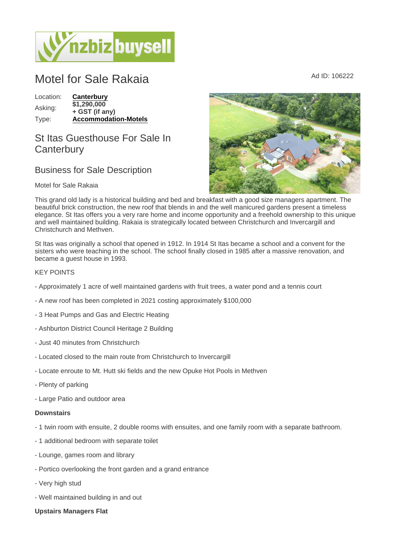# Motel for Sale Rakaia  $\blacksquare$

Location: [Canterbury](https://www.nzbizbuysell.co.nz/businesses-for-sale/location/Canterbury) Asking: \$1,290,000 + GST (if any) Type: [Accommodation-Motels](https://www.nzbizbuysell.co.nz/businesses-for-sale/Motels/New-Zealand)

## St Itas Guesthouse For Sale In **Canterbury**

### Business for Sale Description

#### Motel for Sale Rakaia

This grand old lady is a historical building and bed and breakfast with a good size managers apartment. The beautiful brick construction, the new roof that blends in and the well manicured gardens present a timeless elegance. St Itas offers you a very rare home and income opportunity and a freehold ownership to this unique and well maintained building. Rakaia is strategically located between Christchurch and Invercargill and Christchurch and Methven.

St Itas was originally a school that opened in 1912. In 1914 St Itas became a school and a convent for the sisters who were teaching in the school. The school finally closed in 1985 after a massive renovation, and became a guest house in 1993.

#### KEY POINTS

- Approximately 1 acre of well maintained gardens with fruit trees, a water pond and a tennis court
- A new roof has been completed in 2021 costing approximately \$100,000
- 3 Heat Pumps and Gas and Electric Heating
- Ashburton District Council Heritage 2 Building
- Just 40 minutes from Christchurch
- Located closed to the main route from Christchurch to Invercargill
- Locate enroute to Mt. Hutt ski fields and the new Opuke Hot Pools in Methven
- Plenty of parking
- Large Patio and outdoor area

#### **Downstairs**

- 1 twin room with ensuite, 2 double rooms with ensuites, and one family room with a separate bathroom.
- 1 additional bedroom with separate toilet
- Lounge, games room and library
- Portico overlooking the front garden and a grand entrance
- Very high stud
- Well maintained building in and out
- Upstairs Managers Flat